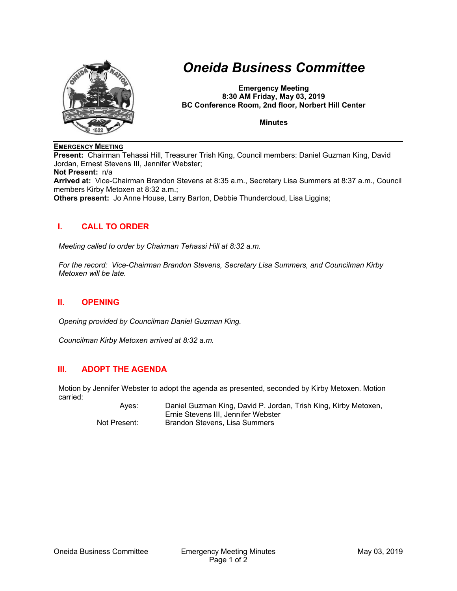

# *Oneida Business Committee*

**Emergency Meeting 8:30 AM Friday, May 03, 2019 BC Conference Room, 2nd floor, Norbert Hill Center** 

**Minutes** 

#### **EMERGENCY MEETING**

**Present:** Chairman Tehassi Hill, Treasurer Trish King, Council members: Daniel Guzman King, David Jordan, Ernest Stevens III, Jennifer Webster;

**Not Present:** n/a

**Arrived at:** Vice-Chairman Brandon Stevens at 8:35 a.m., Secretary Lisa Summers at 8:37 a.m., Council members Kirby Metoxen at 8:32 a.m.;

**Others present:** Jo Anne House, Larry Barton, Debbie Thundercloud, Lisa Liggins;

### **I. CALL TO ORDER**

*Meeting called to order by Chairman Tehassi Hill at 8:32 a.m.* 

*For the record: Vice-Chairman Brandon Stevens, Secretary Lisa Summers, and Councilman Kirby Metoxen will be late.* 

### **II. OPENING**

*Opening provided by Councilman Daniel Guzman King.* 

*Councilman Kirby Metoxen arrived at 8:32 a.m.* 

## **III. ADOPT THE AGENDA**

Motion by Jennifer Webster to adopt the agenda as presented, seconded by Kirby Metoxen. Motion carried:

 Ayes: Daniel Guzman King, David P. Jordan, Trish King, Kirby Metoxen, Ernie Stevens III, Jennifer Webster Not Present: Brandon Stevens, Lisa Summers